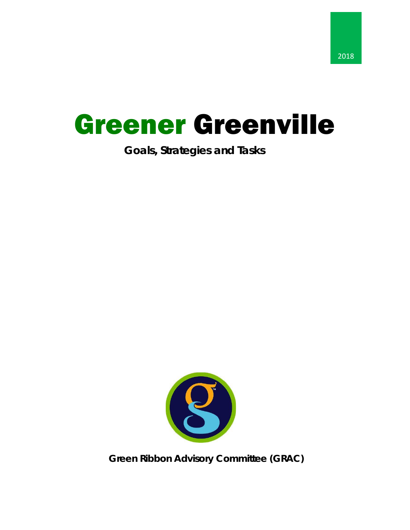# Greener Greenville

# **Goals, Strategies and Tasks**



**Green Ribbon Advisory Committee (GRAC)**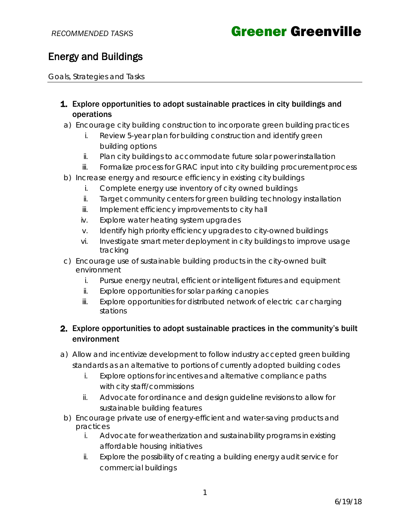### Energy and Buildings

Goals, Strategies and Tasks

### 1. Explore opportunities to adopt sustainable practices in city buildings and operations

- a) Encourage city building construction to incorporate green building practices
	- i. Review 5-year plan for building construction and identify green building options
	- ii. Plan city buildings to accommodate future solar power installation
	- iii. Formalize process for GRAC input into city building procurement process
- b) Increase energy and resource efficiency in existing city buildings
	- i. Complete energy use inventory of city owned buildings
	- ii. Target community centers for green building technology installation
	- iii. Implement efficiency improvements to city hall
	- iv. Explore water heating system upgrades
	- v. Identify high priority efficiency upgrades to city-owned buildings
	- vi. Investigate smart meter deployment in city buildings to improve usage tracking
- c) Encourage use of sustainable building products in the city-owned built environment
	- i. Pursue energy neutral, efficient or intelligent fixtures and equipment
	- ii. Explore opportunities for solar parking canopies
	- iii. Explore opportunities for distributed network of electric car charging stations

### 2. Explore opportunities to adopt sustainable practices in the community's built environment

- a) Allow and incentivize development to follow industry accepted green building standards as an alternative to portions of currently adopted building codes
	- i. Explore options for incentives and alternative compliance paths with city staff/commissions
	- ii. Advocate for ordinance and design guideline revisions to allow for sustainable building features
- b) Encourage private use of energy-efficient and water-saving products and practices
	- i. Advocate for weatherization and sustainability programs in existing affordable housing initiatives
	- ii. Explore the possibility of creating a building energy audit service for commercial buildings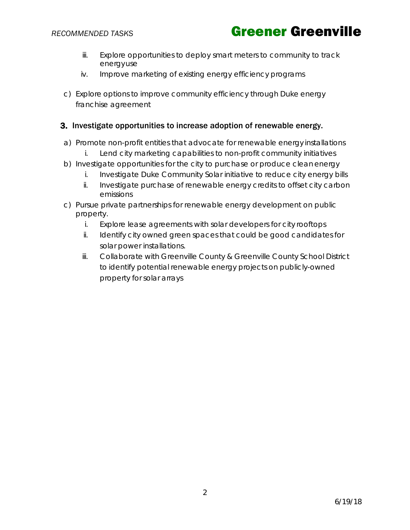- iii. Explore opportunities to deploy smart meters to community to track energyuse
- iv. Improve marketing of existing energy efficiency programs
- c) Explore options to improve community efficiency through Duke energy franchise agreement

#### 3. Investigate opportunities to increase adoption of renewable energy.

- a) Promote non-profit entities that advocate for renewable energy installations i. Lend city marketing capabilities to non-profit community initiatives
- b) Investigate opportunities for the city to purchase or produce cleanenergy
	- i. Investigate Duke Community Solar initiative to reduce city energy bills
	- ii. Investigate purchase of renewable energy credits to offset city carbon emissions
- c) Pursue private partnerships for renewable energy development on public property.
	- i. Explore lease agreements with solar developers for city rooftops
	- ii. Identify city owned green spaces that could be good candidates for solar power installations.
	- iii. Collaborate with Greenville County & Greenville County School District to identify potential renewable energy projects on publicly-owned property for solar arrays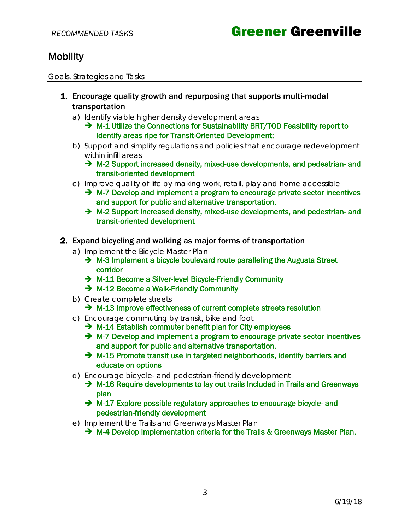## **Mobility**

Goals, Strategies and Tasks

- **1.** Encourage quality growth and repurposing that supports multi-modal transportation
	- a) Identify viable higher density development areas
		- $\rightarrow$  M-1 Utilize the Connections for Sustainability BRT/TOD Feasibility report to identify areas ripe for Transit-Oriented Development:
	- b) Support and simplify regulations and policies that encourage redevelopment within infill areas
		- M-2 Support increased density, mixed-use developments, and pedestrian- and transit-oriented development
	- c) Improve quality of life by making work, retail, play and home accessible
		- $\rightarrow$  M-7 Develop and implement a program to encourage private sector incentives and support for public and alternative transportation.
		- → M-2 Support increased density, mixed-use developments, and pedestrian- and transit-oriented development
- 2. Expand bicycling and walking as major forms of transportation
	- *a)* Implement the *Bicycle Master Plan*
		- $\rightarrow$  M-3 Implement a bicycle boulevard route paralleling the Augusta Street corridor
		- → M-11 Become a Silver-level Bicycle-Friendly Community
		- → M-12 Become a Walk-Friendly Community
	- b) Create complete streets
		- → M-13 Improve effectiveness of current complete streets resolution
	- c) Encourage commuting by transit, bike and foot
		- $\rightarrow$  M-14 Establish commuter benefit plan for City employees
			- $\rightarrow$  M-7 Develop and implement a program to encourage private sector incentives and support for public and alternative transportation.
			- $\rightarrow$  M-15 Promote transit use in targeted neighborhoods, identify barriers and educate on options
	- d) Encourage bicycle- and pedestrian-friendly development
		- → M-16 Require developments to lay out trails Included in Trails and Greenways plan
		- $\rightarrow$  M-17 Explore possible regulatory approaches to encourage bicycle- and pedestrian-friendly development
	- *e)* Implement the *Trails and Greenways Master Plan*
		- $\rightarrow$  M-4 Develop implementation criteria for the Trails & Greenways Master Plan.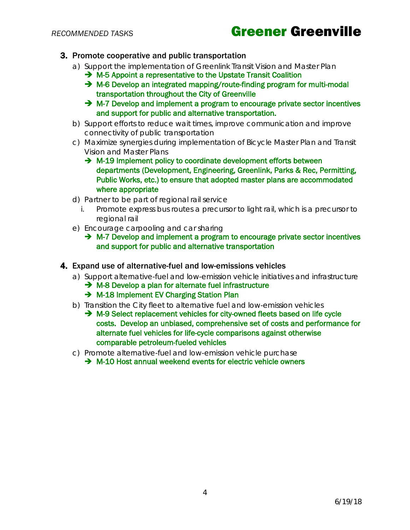# **RECOMMENDED TASKS Creener Greenville**

- 3. Promote cooperative and public transportation
	- *a)* Support the implementation of Greenlink *Transit Vision and Master Plan*
		- → M-5 Appoint a representative to the Upstate Transit Coalition
		- → M-6 Develop an integrated mapping/route-finding program for multi-modal transportation throughout the City of Greenville
		- $\rightarrow$  M-7 Develop and implement a program to encourage private sector incentives and support for public and alternative transportation.
	- b) Support efforts to reduce wait times, improve communication and improve connectivity of public transportation
	- *c)* Maximize synergies during implementation of *Bicycle Master Plan* and *Transit Vision and Master Plans*
		- $\rightarrow$  M-19 Implement policy to coordinate development efforts between departments (Development, Engineering, Greenlink, Parks & Rec, Permitting, Public Works, etc.) to ensure that adopted master plans are accommodated where appropriate
	- d) Partner to be part of regional rail service
		- i. Promote express bus routes a precursor to light rail, which is a precursor to regional rail
	- e) Encourage carpooling and car sharing
		- $\rightarrow$  M-7 Develop and implement a program to encourage private sector incentives and support for public and alternative transportation

#### 4. Expand use of alternative-fuel and low-emissions vehicles

- a) Support alternative-fuel and low-emission vehicle initiatives and infrastructure
	- → M-8 Develop a plan for alternate fuel infrastructure
	- → M-18 Implement EV Charging Station Plan
- b) Transition the City fleet to alternative fuel and low-emission vehicles
	- → M-9 Select replacement vehicles for city-owned fleets based on life cycle costs. Develop an unbiased, comprehensive set of costs and performance for alternate fuel vehicles for life-cycle comparisons against otherwise comparable petroleum-fueled vehicles
- c) Promote alternative-fuel and low-emission vehicle purchase
	- $\rightarrow$  M-10 Host annual weekend events for electric vehicle owners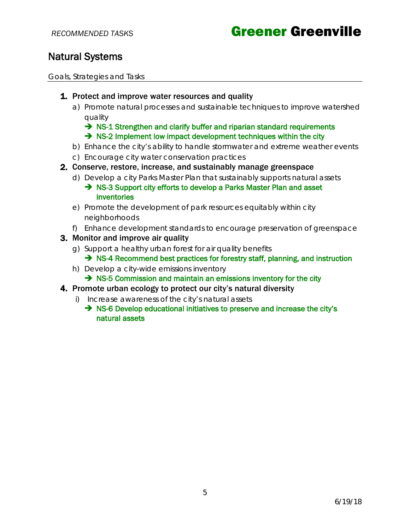# **RECOMMENDED TASKS Greener Greenville**

### Natural Systems

Goals, Strategies and Tasks

- **1.** Protect and improve water resources and quality
	- a) Promote natural processes and sustainable techniques to improve watershed quality
		- $\rightarrow$  NS-1 Strengthen and clarify buffer and riparian standard requirements  $\rightarrow$  NS-2 Implement low impact development techniques within the city
	- b) Enhance the city's ability to handle stormwater and extreme weather events
	- c) Encourage city water conservation practices
- 2. Conserve, restore, increase, and sustainably manage greenspace
	- d) Develop a city Parks Master Plan that sustainably supports natural assets
		- → NS-3 Support city efforts to develop a Parks Master Plan and asset inventories
	- e) Promote the development of park resources equitably within city neighborhoods
	- f) Enhance development standards to encourage preservation of greenspace
- 3. Monitor and improve air quality
	- g) Support a healthy urban forest for air quality benefits  $\rightarrow$  NS-4 Recommend best practices for forestry staff, planning, and instruction
	- h) Develop a city-wide emissions inventory
		- $\rightarrow$  NS-5 Commission and maintain an emissions inventory for the city
- 4. Promote urban ecology to protect our city's natural diversity
	- i) Increase awareness of the city's natural assets
		- → NS-6 Develop educational initiatives to preserve and increase the city's natural assets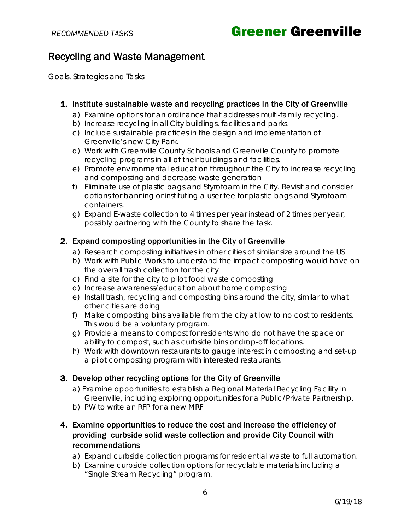### Recycling and Waste Management

Goals, Strategies and Tasks

#### 1. Institute sustainable waste and recycling practices in the City of Greenville

- a) Examine options for an ordinance that addresses multi-family recycling.
- b) Increase recycling in all City buildings, facilities and parks.
- c) Include sustainable practices in the design and implementation of Greenville's new City Park.
- d) Work with Greenville County Schools and Greenville County to promote recycling programs in all of their buildings and facilities.
- e) Promote environmental education throughout the City to increase recycling and composting and decrease waste generation
- f) Eliminate use of plastic bags and Styrofoam in the City. Revisit and consider options for banning or instituting a user fee for plastic bags and Styrofoam containers.
- g) Expand E-waste collection to 4 times per year instead of 2 times per year, possibly partnering with the County to share the task.

### 2. Expand composting opportunities in the City of Greenville

- a) Research composting initiatives in other cities of similar size around the US
- b) Work with Public Works to understand the impact composting would have on the overall trash collection for the city
- c) Find a site for the city to pilot food waste composting
- d) Increase awareness/education about home composting
- e) Install trash, recycling and composting bins around the city, similar to what other cities are doing
- f) Make composting bins available from the city at low to no cost to residents. This would be a voluntary program.
- g) Provide a means to compost for residents who do not have the space or ability to compost, such as curbside bins or drop-off locations.
- h) Work with downtown restaurants to gauge interest in composting and set-up a pilot composting program with interested restaurants.

### 3. Develop other recycling options for the City of Greenville

- a) Examine opportunities to establish a Regional Material Recycling Facility in Greenville, including exploring opportunities for a Public/Private Partnership.
- b) PW to write an RFP for a new MRF

### 4. Examine opportunities to reduce the cost and increase the efficiency of providing curbside solid waste collection and provide City Council with recommendations

- a) Expand curbside collection programs for residential waste to full automation.
- b) Examine curbside collection options for recyclable materials including a "Single Stream Recycling" program.